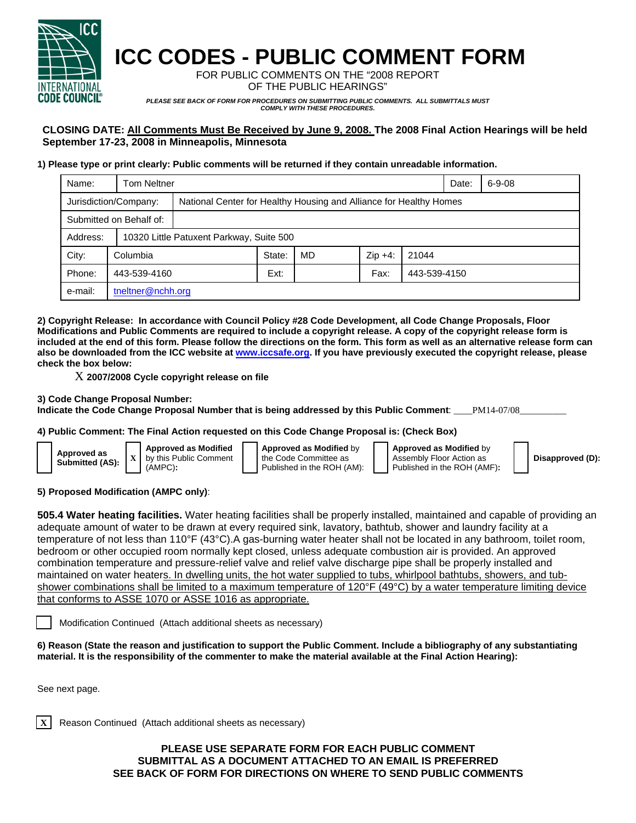

# **ICC CODES - PUBLIC COMMENT FORM**

FOR PUBLIC COMMENTS ON THE "2008 REPORT OF THE PUBLIC HEARINGS"

*PLEASE SEE BACK OF FORM FOR PROCEDURES ON SUBMITTING PUBLIC COMMENTS. ALL SUBMITTALS MUST COMPLY WITH THESE PROCEDURES.* 

### **CLOSING DATE: All Comments Must Be Received by June 9, 2008. The 2008 Final Action Hearings will be held September 17-23, 2008 in Minneapolis, Minnesota**

#### **1) Please type or print clearly: Public comments will be returned if they contain unreadable information.**

| Name:                   | <b>Tom Neltner</b>    |                                                                    |        |    |           |              | Date: | $6 - 9 - 08$ |
|-------------------------|-----------------------|--------------------------------------------------------------------|--------|----|-----------|--------------|-------|--------------|
|                         | Jurisdiction/Company: | National Center for Healthy Housing and Alliance for Healthy Homes |        |    |           |              |       |              |
| Submitted on Behalf of: |                       |                                                                    |        |    |           |              |       |              |
| Address:                |                       | 10320 Little Patuxent Parkway, Suite 500                           |        |    |           |              |       |              |
| City:                   | Columbia              |                                                                    | State: | MD | $Zip +4:$ | 21044        |       |              |
| Phone:                  | 443-539-4160          |                                                                    | Ext:   |    | Fax:      | 443-539-4150 |       |              |
| e-mail:                 | tneltner@nchh.org     |                                                                    |        |    |           |              |       |              |

**2) Copyright Release: In accordance with Council Policy #28 Code Development, all Code Change Proposals, Floor Modifications and Public Comments are required to include a copyright release. A copy of the copyright release form is included at the end of this form. Please follow the directions on the form. This form as well as an alternative release form can also be downloaded from the ICC website at www.iccsafe.org. If you have previously executed the copyright release, please check the box below:** 

X **2007/2008 Cycle copyright release on file** 

#### **3) Code Change Proposal Number:**

Indicate the Code Change Proposal Number that is being addressed by this Public Comment: \_\_\_PM14-07/08

#### **4) Public Comment: The Final Action requested on this Code Change Proposal is: (Check Box)**

| Approved as<br>Submitted (AS): |  |
|--------------------------------|--|
|                                |  |

**Approved as Modified** by this Public Comment (AMPC)**:** 

**Approved as Modified** by the Code Committee as Published in the ROH (AM): **Approved as Modified** by Assembly Floor Action as Published in the ROH (AMF)**:** 

**Disapproved (D):**

#### **5) Proposed Modification (AMPC only)**:

**505.4 Water heating facilities.** Water heating facilities shall be properly installed, maintained and capable of providing an adequate amount of water to be drawn at every required sink, lavatory, bathtub, shower and laundry facility at a temperature of not less than 110°F (43°C).A gas-burning water heater shall not be located in any bathroom, toilet room, bedroom or other occupied room normally kept closed, unless adequate combustion air is provided. An approved combination temperature and pressure-relief valve and relief valve discharge pipe shall be properly installed and maintained on water heaters. In dwelling units, the hot water supplied to tubs, whirlpool bathtubs, showers, and tubshower combinations shall be limited to a maximum temperature of 120°F (49°C) by a water temperature limiting device that conforms to ASSE 1070 or ASSE 1016 as appropriate.

Modification Continued (Attach additional sheets as necessary)

**6) Reason (State the reason and justification to support the Public Comment. Include a bibliography of any substantiating material. It is the responsibility of the commenter to make the material available at the Final Action Hearing):**

See next page.

**X** | Reason Continued (Attach additional sheets as necessary)

#### **PLEASE USE SEPARATE FORM FOR EACH PUBLIC COMMENT SUBMITTAL AS A DOCUMENT ATTACHED TO AN EMAIL IS PREFERRED SEE BACK OF FORM FOR DIRECTIONS ON WHERE TO SEND PUBLIC COMMENTS**